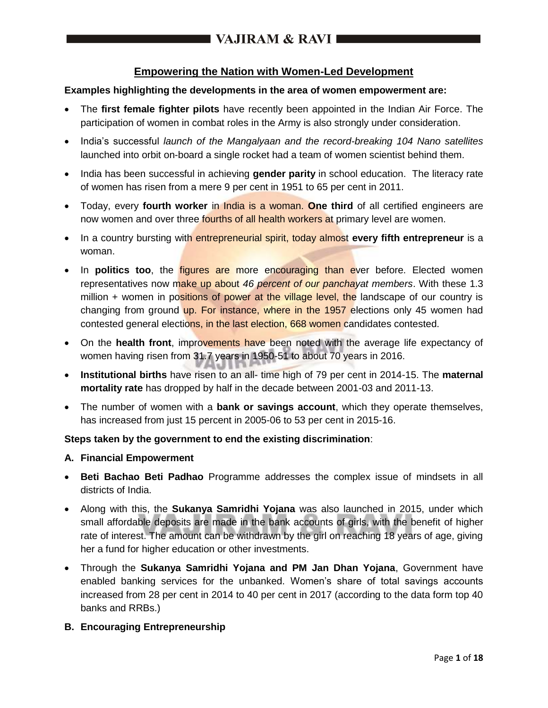## **Empowering the Nation with Women-Led Development**

## **Examples highlighting the developments in the area of women empowerment are:**

- The **first female fighter pilots** have recently been appointed in the Indian Air Force. The participation of women in combat roles in the Army is also strongly under consideration.
- India's successful *launch of the Mangalyaan and the record-breaking 104 Nano satellites* launched into orbit on-board a single rocket had a team of women scientist behind them.
- India has been successful in achieving **gender parity** in school education. The literacy rate of women has risen from a mere 9 per cent in 1951 to 65 per cent in 2011.
- Today, every **fourth worker** in India is a woman. **One third** of all certified engineers are now women and over three fourths of all health workers at primary level are women.
- In a country bursting with **entrepreneurial spirit, today almost every fifth entrepreneur** is a woman.
- In **politics too**, the *figures are more encouraging than ever before*. Elected women representatives now make up about *46 percent of our panchayat members*. With these 1.3 million  $+$  women in positions of power at the village level, the landscape of our country is changing from ground up. For instance, where in the 1957 elections only 45 women had contested general elections, in the last election, 668 women candidates contested.
- On the **health front**, improvements have been noted with the average life expectancy of women having risen from 31.7 years in 1950-51 to about 70 years in 2016.
- **Institutional births** have risen to an all- time high of 79 per cent in 2014-15. The **maternal mortality rate** has dropped by half in the decade between 2001-03 and 2011-13.
- The number of women with a **bank or savings account**, which they operate themselves, has increased from just 15 percent in 2005-06 to 53 per cent in 2015-16.

## **Steps taken by the government to end the existing discrimination**:

## **A. Financial Empowerment**

- **Beti Bachao Beti Padhao** Programme addresses the complex issue of mindsets in all districts of India.
- Along with this, the **Sukanya Samridhi Yojana** was also launched in 2015, under which small affordable deposits are made in the bank accounts of girls, with the benefit of higher rate of interest. The amount can be withdrawn by the girl on reaching 18 years of age, giving her a fund for higher education or other investments.
- Through the **Sukanya Samridhi Yojana and PM Jan Dhan Yojana**, Government have enabled banking services for the unbanked. Women's share of total savings accounts increased from 28 per cent in 2014 to 40 per cent in 2017 (according to the data form top 40 banks and RRBs.)

## **B. Encouraging Entrepreneurship**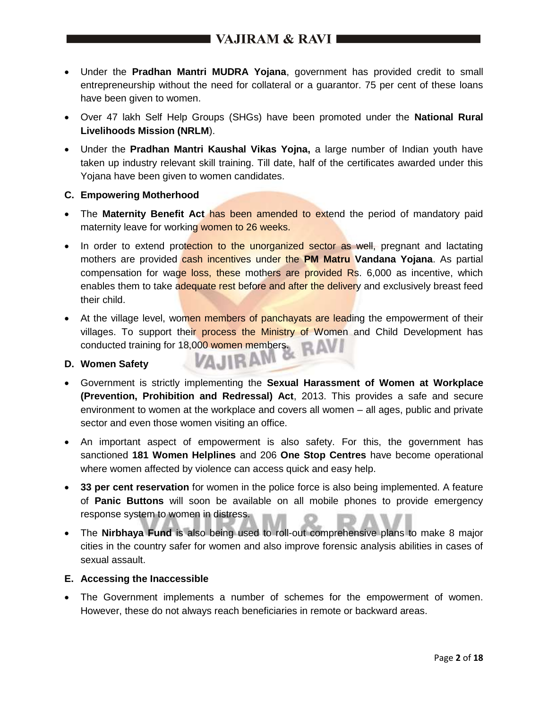# I VAJIRAM & RAVI I

- Under the **Pradhan Mantri MUDRA Yojana**, government has provided credit to small entrepreneurship without the need for collateral or a guarantor. 75 per cent of these loans have been given to women.
- Over 47 lakh Self Help Groups (SHGs) have been promoted under the **National Rural Livelihoods Mission (NRLM**).
- Under the **Pradhan Mantri Kaushal Vikas Yojna,** a large number of Indian youth have taken up industry relevant skill training. Till date, half of the certificates awarded under this Yojana have been given to women candidates.

### **C. Empowering Motherhood**

- The **Maternity Benefit Act** has been amended to extend the period of mandatory paid maternity leave for working women to 26 weeks.
- In order to extend protection to the unorganized sector as well, pregnant and lactating mothers are provided cash incentives under the **PM Matru Vandana Yojana**. As partial compensation for wage loss, these mothers are provided Rs. 6,000 as incentive, which enables them to take adequate rest before and after the delivery and exclusively breast feed their child.
- At the village level, women members of panchayats are leading the empowerment of their villages. To support their process the Ministry of Women and Child Development has conducted training for 18,000 women members.

## **D. Women Safety**

- Government is strictly implementing the **Sexual Harassment of Women at Workplace (Prevention, Prohibition and Redressal) Act**, 2013. This provides a safe and secure environment to women at the workplace and covers all women – all ages, public and private sector and even those women visiting an office.
- An important aspect of empowerment is also safety. For this, the government has sanctioned **181 Women Helplines** and 206 **One Stop Centres** have become operational where women affected by violence can access quick and easy help.
- **33 per cent reservation** for women in the police force is also being implemented. A feature of **Panic Buttons** will soon be available on all mobile phones to provide emergency response system to women in distress.
- The **Nirbhaya Fund** is also being used to roll-out comprehensive plans to make 8 major cities in the country safer for women and also improve forensic analysis abilities in cases of sexual assault.

#### **E. Accessing the Inaccessible**

 The Government implements a number of schemes for the empowerment of women. However, these do not always reach beneficiaries in remote or backward areas.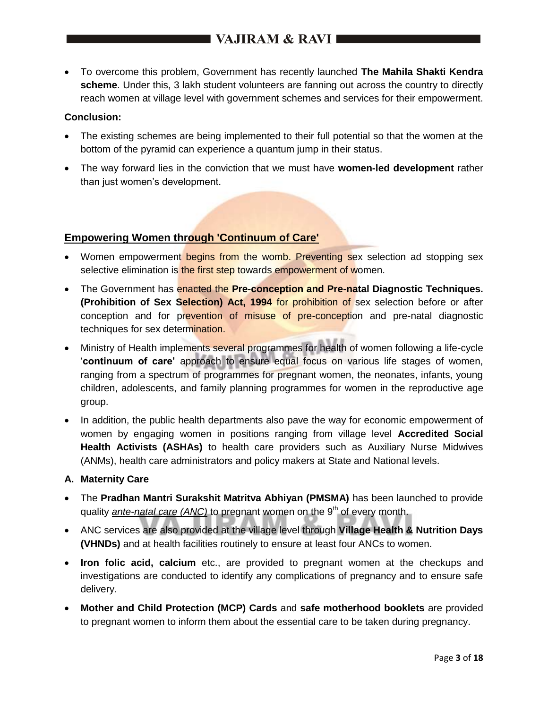To overcome this problem, Government has recently launched **The Mahila Shakti Kendra scheme**. Under this, 3 lakh student volunteers are fanning out across the country to directly reach women at village level with government schemes and services for their empowerment.

## **Conclusion:**

- The existing schemes are being implemented to their full potential so that the women at the bottom of the pyramid can experience a quantum jump in their status.
- The way forward lies in the conviction that we must have **women-led development** rather than just women's development.

## **Empowering Women through 'Continuum of Care'**

- Women empowerment begins from the womb. Preventing sex selection ad stopping sex selective elimination is the first step towards empowerment of women.
- The Government has enacted the **Pre-conception and Pre-natal Diagnostic Techniques. (Prohibition of Sex Selection) Act, 1994** for prohibition of sex selection before or after conception and for prevention of misuse of pre-conception and pre-natal diagnostic techniques for sex determination.
- Ministry of Health implements several programmes for health of women following a life-cycle '**continuum of care'** approach to ensure equal focus on various life stages of women, ranging from a spectrum of programmes for pregnant women, the neonates, infants, young children, adolescents, and family planning programmes for women in the reproductive age group.
- In addition, the public health departments also pave the way for economic empowerment of women by engaging women in positions ranging from village level **Accredited Social Health Activists (ASHAs)** to health care providers such as Auxiliary Nurse Midwives (ANMs), health care administrators and policy makers at State and National levels.

## **A. Maternity Care**

- The **Pradhan Mantri Surakshit Matritva Abhiyan (PMSMA)** has been launched to provide quality *ante-natal care (ANC)* to pregnant women on the 9<sup>th</sup> of every month.
- ANC services are also provided at the village level through **Village Health & Nutrition Days (VHNDs)** and at health facilities routinely to ensure at least four ANCs to women.
- **Iron folic acid, calcium** etc., are provided to pregnant women at the checkups and investigations are conducted to identify any complications of pregnancy and to ensure safe delivery.
- **Mother and Child Protection (MCP) Cards** and **safe motherhood booklets** are provided to pregnant women to inform them about the essential care to be taken during pregnancy.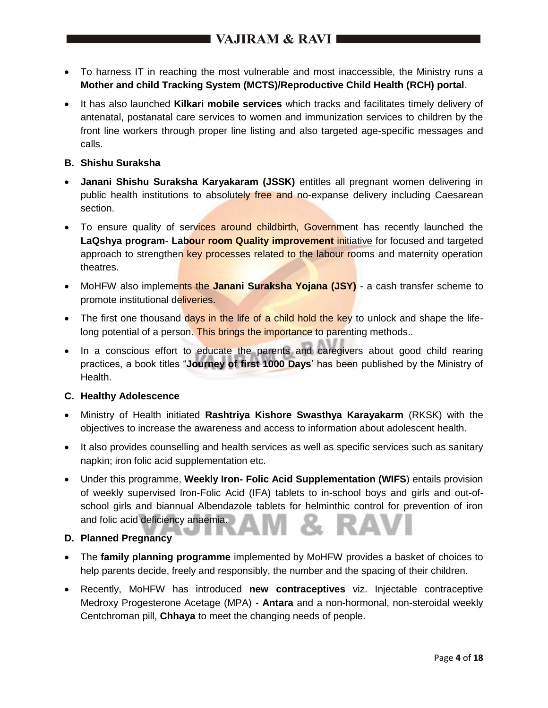- To harness IT in reaching the most vulnerable and most inaccessible, the Ministry runs a **Mother and child Tracking System (MCTS)/Reproductive Child Health (RCH) portal**.
- It has also launched **Kilkari mobile services** which tracks and facilitates timely delivery of antenatal, postanatal care services to women and immunization services to children by the front line workers through proper line listing and also targeted age-specific messages and calls.

## **B. Shishu Suraksha**

- **Janani Shishu Suraksha Karyakaram (JSSK)** entitles all pregnant women delivering in public health institutions to absolutely free and no-expanse delivery including Caesarean section.
- To ensure quality of services around childbirth, Government has recently launched the **LaQshya program**- **Labour room Quality improvement** initiative for focused and targeted approach to strengthen key processes related to the labour rooms and maternity operation theatres.
- MoHFW also implements the **Janani Suraksha Yojana (JSY)** a cash transfer scheme to promote institutional deliveries.
- The first one thousand days in the life of a child hold the key to unlock and shape the lifelong potential of a person. This brings the importance to parenting methods..
- In a conscious effort to educate the parents and caregivers about good child rearing practices, a book titles "**Journey of first 1000 Days**' has been published by the Ministry of Health.

## **C. Healthy Adolescence**

- Ministry of Health initiated **Rashtriya Kishore Swasthya Karayakarm** (RKSK) with the objectives to increase the awareness and access to information about adolescent health.
- It also provides counselling and health services as well as specific services such as sanitary napkin; iron folic acid supplementation etc.
- Under this programme, **Weekly Iron- Folic Acid Supplementation (WIFS**) entails provision of weekly supervised Iron-Folic Acid (IFA) tablets to in-school boys and girls and out-ofschool girls and biannual Albendazole tablets for helminthic control for prevention of iron and folic acid deficiency anaemia.

## **D. Planned Pregnancy**

- The **family planning programme** implemented by MoHFW provides a basket of choices to help parents decide, freely and responsibly, the number and the spacing of their children.
- Recently, MoHFW has introduced **new contraceptives** viz. Injectable contraceptive Medroxy Progesterone Acetage (MPA) - **Antara** and a non-hormonal, non-steroidal weekly Centchroman pill, **Chhaya** to meet the changing needs of people.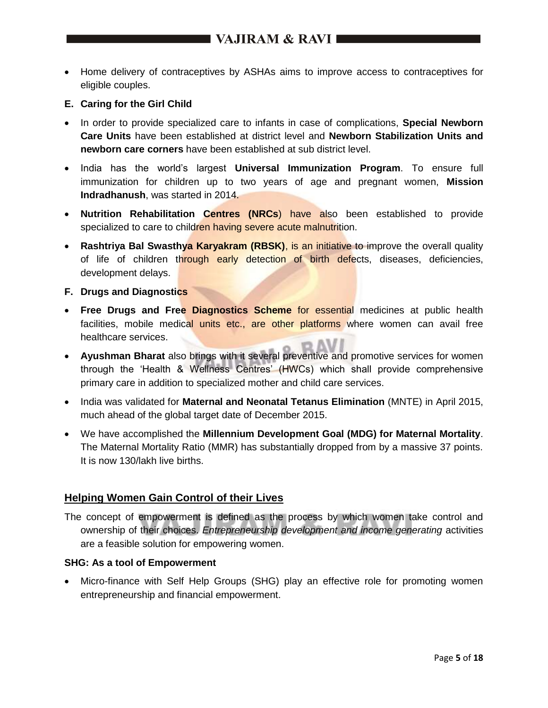- Home delivery of contraceptives by ASHAs aims to improve access to contraceptives for eligible couples.
- **E. Caring for the Girl Child**
- In order to provide specialized care to infants in case of complications, **Special Newborn Care Units** have been established at district level and **Newborn Stabilization Units and newborn care corners** have been established at sub district level.
- India has the world's largest **Universal Immunization Program**. To ensure full immunization for children up to two years of age and pregnant women, **Mission Indradhanush**, was started in 2014.
- **Nutrition Rehabilitation Centres (NRCs**) have also been established to provide specialized to care to children having severe acute malnutrition.
- **Rashtriya Bal Swasthya Karyakram (RBSK)**, is an initiative to improve the overall quality of life of children through early detection of birth defects, diseases, deficiencies, development delays.
- **F. Drugs and Diagnostics**
- **Free Drugs and Free Diagnostics Scheme** for essential medicines at public health facilities, mobile medical units etc., are other platforms where women can avail free healthcare services.
- **Ayushman Bharat** also brings with it several preventive and promotive services for women through the 'Health & Wellness Centres' (HWCs) which shall provide comprehensive primary care in addition to specialized mother and child care services.
- India was validated for **Maternal and Neonatal Tetanus Elimination** (MNTE) in April 2015, much ahead of the global target date of December 2015.
- We have accomplished the **Millennium Development Goal (MDG) for Maternal Mortality**. The Maternal Mortality Ratio (MMR) has substantially dropped from by a massive 37 points. It is now 130/lakh live births.

## **Helping Women Gain Control of their Lives**

The concept of empowerment is defined as the process by which women take control and ownership of their choices. *Entrepreneurship development and income generating* activities are a feasible solution for empowering women.

#### **SHG: As a tool of Empowerment**

• Micro-finance with Self Help Groups (SHG) play an effective role for promoting women entrepreneurship and financial empowerment.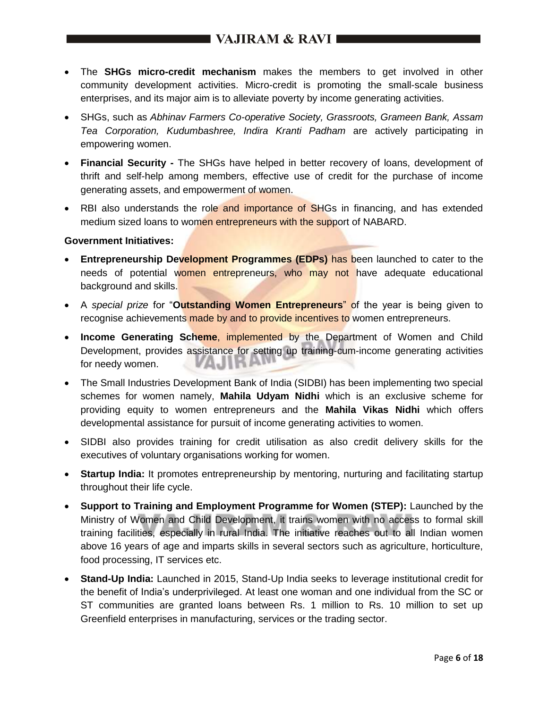- The **SHGs micro-credit mechanism** makes the members to get involved in other community development activities. Micro-credit is promoting the small-scale business enterprises, and its major aim is to alleviate poverty by income generating activities.
- SHGs, such as *Abhinav Farmers Co-operative Society, Grassroots, Grameen Bank, Assam Tea Corporation, Kudumbashree, Indira Kranti Padham* are actively participating in empowering women.
- **Financial Security -** The SHGs have helped in better recovery of loans, development of thrift and self-help among members, effective use of credit for the purchase of income generating assets, and empowerment of women.
- RBI also understands the role and importance of SHGs in financing, and has extended medium sized loans to women entrepreneurs with the support of NABARD.

#### **Government Initiatives:**

- **Entrepreneurship Development Programmes (EDPs)** has been launched to cater to the needs of potential women entrepreneurs, who may not have adequate educational background and skills.
- A *special prize* for "**Outstanding Women Entrepreneurs**" of the year is being given to recognise achievements made by and to provide incentives to women entrepreneurs.
- **Income Generating Scheme**, implemented by the Department of Women and Child Development, provides assistance for setting up training-cum-income generating activities VAJIK F for needy women.
- The Small Industries Development Bank of India (SIDBI) has been implementing two special schemes for women namely, **Mahila Udyam Nidhi** which is an exclusive scheme for providing equity to women entrepreneurs and the **Mahila Vikas Nidhi** which offers developmental assistance for pursuit of income generating activities to women.
- SIDBI also provides training for credit utilisation as also credit delivery skills for the executives of voluntary organisations working for women.
- **Startup India:** It promotes entrepreneurship by mentoring, nurturing and facilitating startup throughout their life cycle.
- **Support to Training and Employment Programme for Women (STEP):** Launched by the Ministry of Women and Child Development, it trains women with no access to formal skill training facilities, especially in rural India. The initiative reaches out to all Indian women above 16 years of age and imparts skills in several sectors such as agriculture, horticulture, food processing, IT services etc.
- **Stand-Up India:** Launched in 2015, Stand-Up India seeks to leverage institutional credit for the benefit of India's underprivileged. At least one woman and one individual from the SC or ST communities are granted loans between Rs. 1 million to Rs. 10 million to set up Greenfield enterprises in manufacturing, services or the trading sector.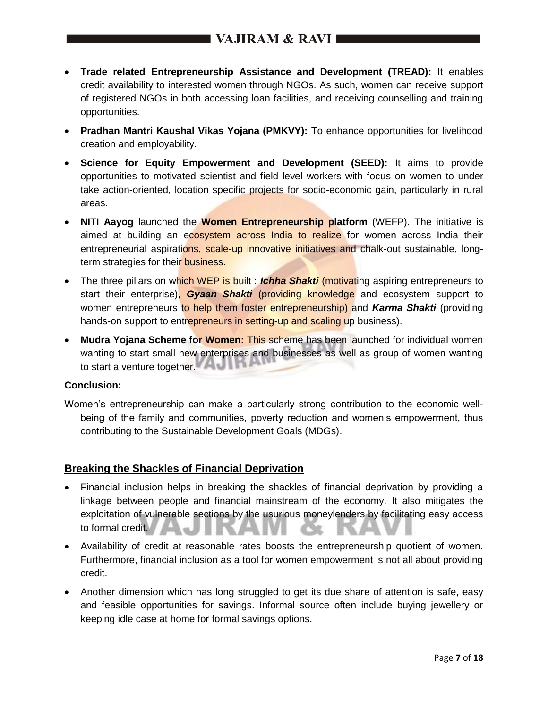- **Trade related Entrepreneurship Assistance and Development (TREAD):** It enables credit availability to interested women through NGOs. As such, women can receive support of registered NGOs in both accessing loan facilities, and receiving counselling and training opportunities.
- **Pradhan Mantri Kaushal Vikas Yojana (PMKVY):** To enhance opportunities for livelihood creation and employability.
- **Science for Equity Empowerment and Development (SEED):** It aims to provide opportunities to motivated scientist and field level workers with focus on women to under take action-oriented, location specific projects for socio-economic gain, particularly in rural areas.
- **NITI Aayog** launched the **Women Entrepreneurship platform** (WEFP). The initiative is aimed at building an ecosystem across India to realize for women across India their entrepreneurial aspirations, scale-up innovative initiatives and chalk-out sustainable, longterm strategies for their **business.**
- The three pillars on which WEP is built: *Ichha Shakti (motivating aspiring entrepreneurs to* start their enterprise), *Gyaan Shakti* (providing knowledge and ecosystem support to women entrepreneurs to help them foster entrepreneurship) and *Karma Shakti* (providing hands-on support to entrepreneurs in setting-up and scaling up business).
- **Mudra Yojana Scheme for Women:** This scheme has been launched for individual women wanting to start small new enterprises and businesses as well as group of women wanting to start a venture together.

## **Conclusion:**

Women's entrepreneurship can make a particularly strong contribution to the economic wellbeing of the family and communities, poverty reduction and women's empowerment, thus contributing to the Sustainable Development Goals (MDGs).

## **Breaking the Shackles of Financial Deprivation**

- Financial inclusion helps in breaking the shackles of financial deprivation by providing a linkage between people and financial mainstream of the economy. It also mitigates the exploitation of vulnerable sections by the usurious moneylenders by facilitating easy access to formal credit.
- Availability of credit at reasonable rates boosts the entrepreneurship quotient of women. Furthermore, financial inclusion as a tool for women empowerment is not all about providing credit.
- Another dimension which has long struggled to get its due share of attention is safe, easy and feasible opportunities for savings. Informal source often include buying jewellery or keeping idle case at home for formal savings options.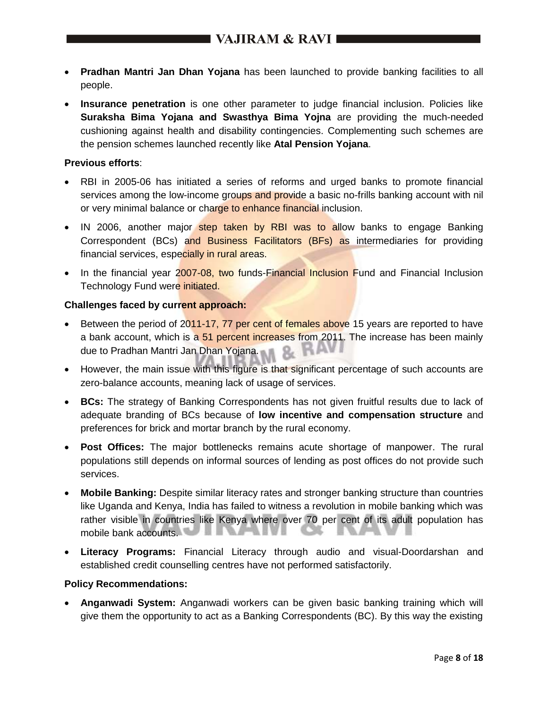- **Pradhan Mantri Jan Dhan Yojana** has been launched to provide banking facilities to all people.
- **Insurance penetration** is one other parameter to judge financial inclusion. Policies like **Suraksha Bima Yojana and Swasthya Bima Yojna** are providing the much-needed cushioning against health and disability contingencies. Complementing such schemes are the pension schemes launched recently like **Atal Pension Yojana**.

## **Previous efforts**:

- RBI in 2005-06 has initiated a series of reforms and urged banks to promote financial services among the low-income groups and provide a basic no-frills banking account with nil or very minimal balance or charge to enhance financial inclusion.
- IN 2006, another major step taken by RBI was to allow banks to engage Banking Correspondent (BCs) and Business Facilitators (BFs) as intermediaries for providing financial services, especially in rural areas.
- In the financial year 2007-08, two funds-Financial Inclusion Fund and Financial Inclusion Technology Fund were *initiated*.

### **Challenges faced by current approach:**

- Between the period of 2011-17, 77 per cent of females above 15 years are reported to have a bank account, which is a 51 percent increases from 2011. The increase has been mainly due to Pradhan Mantri Jan Dhan Yojana.
- However, the main issue with this figure is that significant percentage of such accounts are zero-balance accounts, meaning lack of usage of services.
- **BCs:** The strategy of Banking Correspondents has not given fruitful results due to lack of adequate branding of BCs because of **low incentive and compensation structure** and preferences for brick and mortar branch by the rural economy.
- **Post Offices:** The major bottlenecks remains acute shortage of manpower. The rural populations still depends on informal sources of lending as post offices do not provide such services.
- **Mobile Banking:** Despite similar literacy rates and stronger banking structure than countries like Uganda and Kenya, India has failed to witness a revolution in mobile banking which was rather visible in countries like Kenya where over 70 per cent of its adult population has mobile bank accounts.
- **Literacy Programs:** Financial Literacy through audio and visual-Doordarshan and established credit counselling centres have not performed satisfactorily.

#### **Policy Recommendations:**

 **Anganwadi System:** Anganwadi workers can be given basic banking training which will give them the opportunity to act as a Banking Correspondents (BC). By this way the existing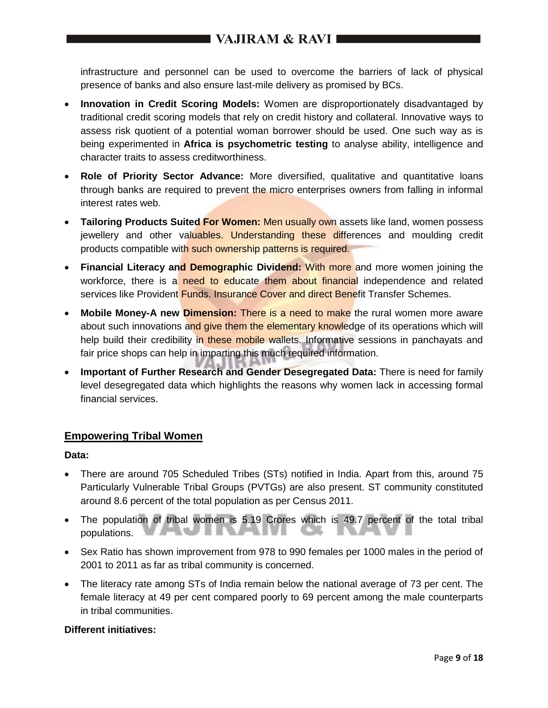infrastructure and personnel can be used to overcome the barriers of lack of physical presence of banks and also ensure last-mile delivery as promised by BCs.

- **Innovation in Credit Scoring Models:** Women are disproportionately disadvantaged by traditional credit scoring models that rely on credit history and collateral. Innovative ways to assess risk quotient of a potential woman borrower should be used. One such way as is being experimented in **Africa is psychometric testing** to analyse ability, intelligence and character traits to assess creditworthiness.
- **Role of Priority Sector Advance:** More diversified, qualitative and quantitative loans through banks are required to prevent the micro enterprises owners from falling in informal interest rates web.
- **Tailoring Products Suited For Women:** Men usually own assets like land, women possess jewellery and other valuables. Understanding these differences and moulding credit products compatible with such ownership patterns is required.
- **Financial Literacy and Demographic Dividend:** With more and more women joining the workforce, there is a need to educate them about financial independence and related services like Provident Funds. Insurance Cover and direct Benefit Transfer Schemes.
- **Mobile Money-A new Dimension:** There is a need to make the rural women more aware about such innovations and give them the elementary knowledge of its operations which will help build their credibility in these mobile wallets. Informative sessions in panchayats and fair price shops can help in imparting this much required information.
- **Important of Further Research and Gender Desegregated Data:** There is need for family level desegregated data which highlights the reasons why women lack in accessing formal financial services.

## **Empowering Tribal Women**

## **Data:**

- There are around 705 Scheduled Tribes (STs) notified in India. Apart from this, around 75 Particularly Vulnerable Tribal Groups (PVTGs) are also present. ST community constituted around 8.6 percent of the total population as per Census 2011.
- The population of tribal women is 5.19 Crores which is 49.7 percent of the total tribal populations.
- Sex Ratio has shown improvement from 978 to 990 females per 1000 males in the period of 2001 to 2011 as far as tribal community is concerned.
- The literacy rate among STs of India remain below the national average of 73 per cent. The female literacy at 49 per cent compared poorly to 69 percent among the male counterparts in tribal communities.

## **Different initiatives:**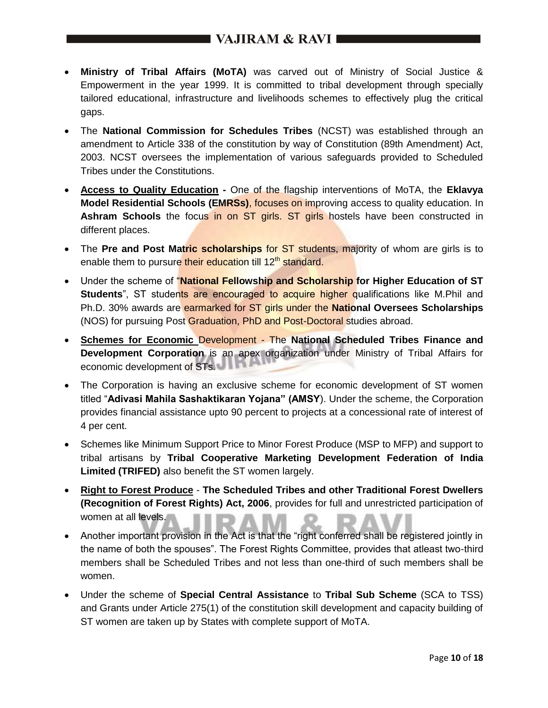- **Ministry of Tribal Affairs (MoTA)** was carved out of Ministry of Social Justice & Empowerment in the year 1999. It is committed to tribal development through specially tailored educational, infrastructure and livelihoods schemes to effectively plug the critical gaps.
- The **National Commission for Schedules Tribes** (NCST) was established through an amendment to Article 338 of the constitution by way of Constitution (89th Amendment) Act, 2003. NCST oversees the implementation of various safeguards provided to Scheduled Tribes under the Constitutions.
- **Access to Quality Education -** One of the flagship interventions of MoTA, the **Eklavya Model Residential Schools (EMRSs)**, focuses on improving access to quality education. In Ashram Schools the focus in on ST girls. ST girls hostels have been constructed in different places.
- The Pre and Post Matric scholarships for ST students, majority of whom are girls is to enable them to pursure their education till 12<sup>th</sup> standard.
- Under the scheme of "**National Fellowship and Scholarship for Higher Education of ST Students**", ST students are encouraged to acquire higher qualifications like M.Phil and Ph.D. 30% awards are earmarked for ST girls under the **National Oversees Scholarships** (NOS) for pursuing Post Graduation, PhD and Post-Doctoral studies abroad.
- **Schemes for Economic** Development The **National Scheduled Tribes Finance and Development Corporation** is an apex organization under Ministry of Tribal Affairs for economic development of STs.
- The Corporation is having an exclusive scheme for economic development of ST women titled "**Adivasi Mahila Sashaktikaran Yojana" (AMSY**). Under the scheme, the Corporation provides financial assistance upto 90 percent to projects at a concessional rate of interest of 4 per cent.
- Schemes like Minimum Support Price to Minor Forest Produce (MSP to MFP) and support to tribal artisans by **Tribal Cooperative Marketing Development Federation of India Limited (TRIFED)** also benefit the ST women largely.
- **Right to Forest Produce The Scheduled Tribes and other Traditional Forest Dwellers (Recognition of Forest Rights) Act, 2006**, provides for full and unrestricted participation of women at all levels.
- Another important provision in the Act is that the "right conferred shall be registered jointly in the name of both the spouses". The Forest Rights Committee, provides that atleast two-third members shall be Scheduled Tribes and not less than one-third of such members shall be women.
- Under the scheme of **Special Central Assistance** to **Tribal Sub Scheme** (SCA to TSS) and Grants under Article 275(1) of the constitution skill development and capacity building of ST women are taken up by States with complete support of MoTA.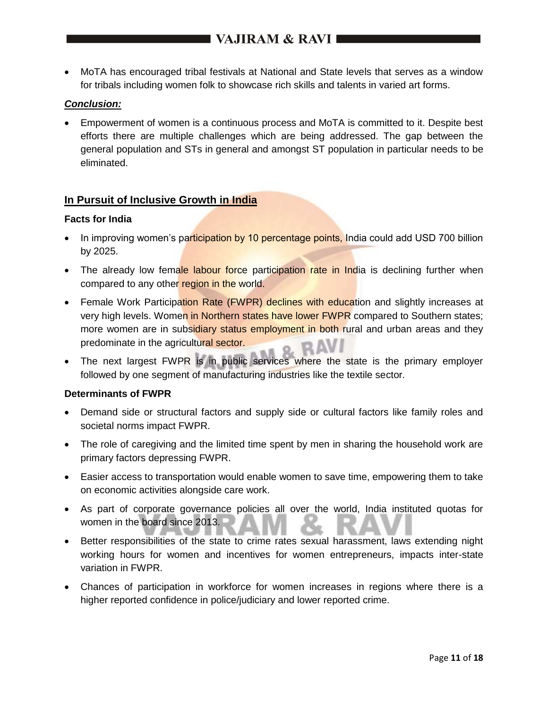MoTA has encouraged tribal festivals at National and State levels that serves as a window for tribals including women folk to showcase rich skills and talents in varied art forms.

## *Conclusion:*

 Empowerment of women is a continuous process and MoTA is committed to it. Despite best efforts there are multiple challenges which are being addressed. The gap between the general population and STs in general and amongst ST population in particular needs to be eliminated.

### **In Pursuit of Inclusive Growth in India**

#### **Facts for India**

- In improving women's participation by 10 percentage points, India could add USD 700 billion by 2025.
- The already low female labour force participation rate in India is declining further when compared to any other region in the world.
- Female Work Participation Rate (FWPR) declines with education and slightly increases at very high levels. Women in Northern states have lower FWPR compared to Southern states; more women are in subsidiary status employment in both rural and urban areas and they predominate in the agricultural sector.
- The next largest FWPR is in public services where the state is the primary employer followed by one segment of manufacturing industries like the textile sector.

## **Determinants of FWPR**

- Demand side or structural factors and supply side or cultural factors like family roles and societal norms impact FWPR.
- The role of caregiving and the limited time spent by men in sharing the household work are primary factors depressing FWPR.
- Easier access to transportation would enable women to save time, empowering them to take on economic activities alongside care work.
- As part of corporate governance policies all over the world, India instituted quotas for women in the board since 2013.
- Better responsibilities of the state to crime rates sexual harassment, laws extending night working hours for women and incentives for women entrepreneurs, impacts inter-state variation in FWPR.
- Chances of participation in workforce for women increases in regions where there is a higher reported confidence in police/judiciary and lower reported crime.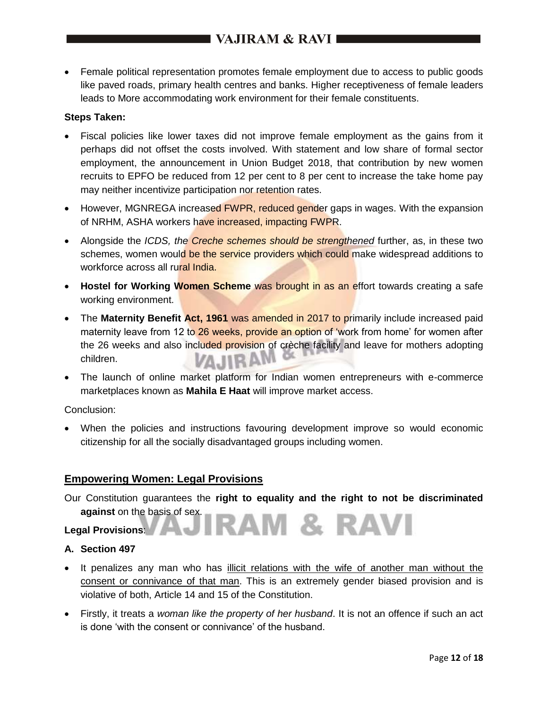Female political representation promotes female employment due to access to public goods like paved roads, primary health centres and banks. Higher receptiveness of female leaders leads to More accommodating work environment for their female constituents.

## **Steps Taken:**

- Fiscal policies like lower taxes did not improve female employment as the gains from it perhaps did not offset the costs involved. With statement and low share of formal sector employment, the announcement in Union Budget 2018, that contribution by new women recruits to EPFO be reduced from 12 per cent to 8 per cent to increase the take home pay may neither incentivize participation nor retention rates.
- However, MGNREGA increased FWPR, reduced gender gaps in wages. With the expansion of NRHM, ASHA workers have increased, impacting FWPR.
- Alongside the *ICDS, the Creche schemes should be strengthened* further, as, in these two schemes, women would be the service providers which could make widespread additions to workforce across all rural India.
- **Hostel for Working Women Scheme** was brought in as an effort towards creating a safe working environment.
- The **Maternity Benefit Act, 1961** was amended in 2017 to primarily include increased paid maternity leave from 12 to 26 weeks, provide an option of 'work from home' for women after the 26 weeks and also included provision of crèche facility and leave for mothers adopting children.
- The launch of online market platform for Indian women entrepreneurs with e-commerce marketplaces known as **Mahila E Haat** will improve market access.

Conclusion:

 When the policies and instructions favouring development improve so would economic citizenship for all the socially disadvantaged groups including women.

## **Empowering Women: Legal Provisions**

Our Constitution guarantees the **right to equality and the right to not be discriminated against** on the basis of sex.

RAM & RAVI

## **Legal Provisions**:

## **A. Section 497**

- It penalizes any man who has illicit relations with the wife of another man without the consent or connivance of that man. This is an extremely gender biased provision and is violative of both, Article 14 and 15 of the Constitution.
- Firstly, it treats a *woman like the property of her husband*. It is not an offence if such an act is done 'with the consent or connivance' of the husband.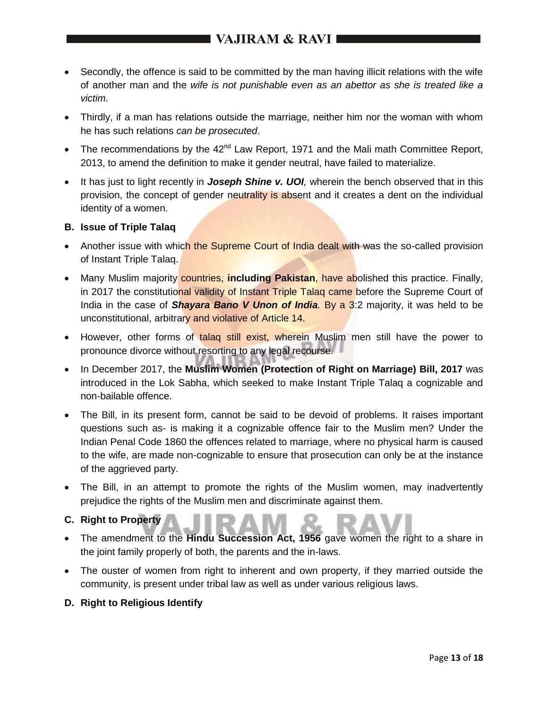# I VAJIRAM & RAVI I

- Secondly, the offence is said to be committed by the man having illicit relations with the wife of another man and the *wife is not punishable even as an abettor as she is treated like a victim.*
- Thirdly, if a man has relations outside the marriage, neither him nor the woman with whom he has such relations *can be prosecuted*.
- The recommendations by the  $42<sup>nd</sup>$  Law Report, 1971 and the Mali math Committee Report, 2013, to amend the definition to make it gender neutral, have failed to materialize.
- It has just to light recently in *Joseph Shine v. UOI*, wherein the bench observed that in this provision, the concept of gender neutrality is absent and it creates a dent on the individual identity of a women.

## **B. Issue of Triple Talaq**

- Another issue with which the Supreme Court of India dealt with was the so-called provision of Instant Triple Talaq.
- Many Muslim majority countries, **including Pakistan**, have abolished this practice. Finally, in 2017 the constitutional validity of Instant Triple Talaq came before the Supreme Court of India in the case of *Shayara Bano V Unon of India.* By a 3:2 majority, it was held to be unconstitutional, arbitrary and violative of Article 14.
- However, other forms of talaq still exist, wherein Muslim men still have the power to pronounce divorce without resorting to any legal recourse.
- In December 2017, the Muslim Women (Protection of Right on Marriage) Bill, 2017 was introduced in the Lok Sabha, which seeked to make Instant Triple Talaq a cognizable and non-bailable offence.
- The Bill, in its present form, cannot be said to be devoid of problems. It raises important questions such as- is making it a cognizable offence fair to the Muslim men? Under the Indian Penal Code 1860 the offences related to marriage, where no physical harm is caused to the wife, are made non-cognizable to ensure that prosecution can only be at the instance of the aggrieved party.
- The Bill, in an attempt to promote the rights of the Muslim women, may inadvertently prejudice the rights of the Muslim men and discriminate against them.
- **C. Right to Property**
- The amendment to the **Hindu Succession Act, 1956** gave women the right to a share in the joint family properly of both, the parents and the in-laws.
- The ouster of women from right to inherent and own property, if they married outside the community, is present under tribal law as well as under various religious laws.
- **D. Right to Religious Identify**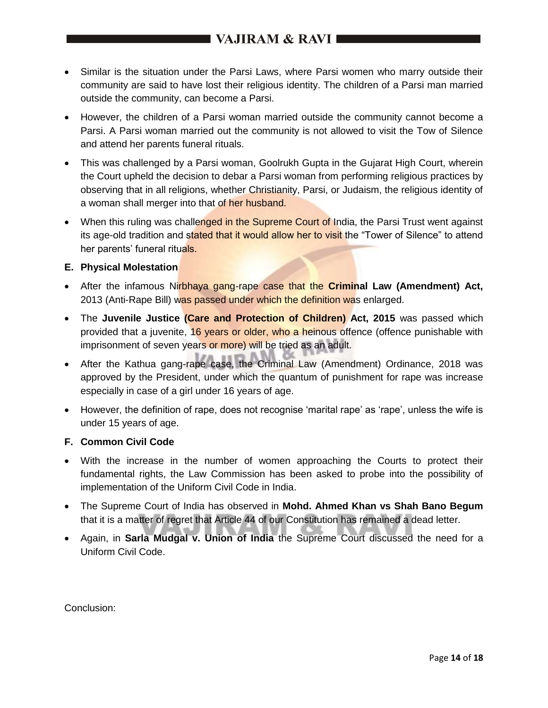# I VAJIRAM & RAVI **III**

- Similar is the situation under the Parsi Laws, where Parsi women who marry outside their community are said to have lost their religious identity. The children of a Parsi man married outside the community, can become a Parsi.
- However, the children of a Parsi woman married outside the community cannot become a Parsi. A Parsi woman married out the community is not allowed to visit the Tow of Silence and attend her parents funeral rituals.
- This was challenged by a Parsi woman, Goolrukh Gupta in the Gujarat High Court, wherein the Court upheld the decision to debar a Parsi woman from performing religious practices by observing that in all religions, whether Christianity, Parsi, or Judaism, the religious identity of a woman shall merger into that of her husband.
- When this ruling was challenged in the Supreme Court of India, the Parsi Trust went against its age-old tradition and stated that it would allow her to visit the "Tower of Silence" to attend her parents' funeral rituals.

## **E. Physical Molestation**

- After the infamous Nirbhaya gang-rape case that the **Criminal Law (Amendment) Act,** 2013 (Anti-Rape Bill) was passed under which the definition was enlarged.
- **•** The Juvenile Justice (Care and Protection of Children) Act, 2015 was passed which provided that a juvenite, 16 years or older, who a heinous offence (offence punishable with imprisonment of seven years or more) will be tried as an adult.
- After the Kathua gang-rape case, the Criminal Law (Amendment) Ordinance, 2018 was approved by the President, under which the quantum of punishment for rape was increase especially in case of a girl under 16 years of age.
- However, the definition of rape, does not recognise 'marital rape' as 'rape', unless the wife is under 15 years of age.

## **F. Common Civil Code**

- With the increase in the number of women approaching the Courts to protect their fundamental rights, the Law Commission has been asked to probe into the possibility of implementation of the Uniform Civil Code in India.
- The Supreme Court of India has observed in **Mohd. Ahmed Khan vs Shah Bano Begum** that it is a matter of regret that Article 44 of our Constitution has remained a dead letter.
- Again, in **Sarla Mudgal v. Union of India** the Supreme Court discussed the need for a Uniform Civil Code.

Conclusion: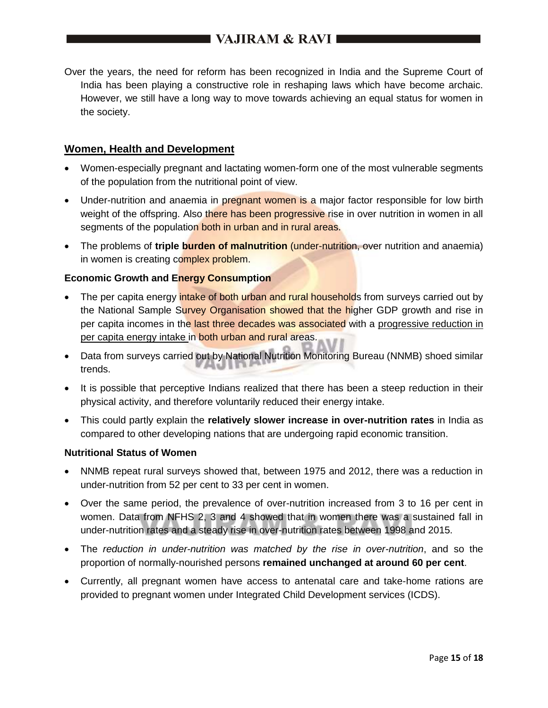## I VAJIRAM & RAVI ■

Over the years, the need for reform has been recognized in India and the Supreme Court of India has been playing a constructive role in reshaping laws which have become archaic. However, we still have a long way to move towards achieving an equal status for women in the society.

## **Women, Health and Development**

- Women-especially pregnant and lactating women-form one of the most vulnerable segments of the population from the nutritional point of view.
- Under-nutrition and anaemia in pregnant women is a major factor responsible for low birth weight of the offspring. Also there has been progressive rise in over nutrition in women in all segments of the population both in urban and in rural areas.
- The problems of *triple* burden of malnutrition (under-nutrition, over nutrition and anaemia) in women is creating complex problem.

### **Economic Growth and Energy Consumption**

- The per capita energy intake of both urban and rural households from surveys carried out by the National Sample Survey Organisation showed that the higher GDP growth and rise in per capita incomes in the last three decades was associated with a progressive reduction in per capita energy intake in both urban and rural areas.
- Data from surveys carried out by National Nutrition Monitoring Bureau (NNMB) shoed similar trends.
- It is possible that perceptive Indians realized that there has been a steep reduction in their physical activity, and therefore voluntarily reduced their energy intake.
- This could partly explain the **relatively slower increase in over-nutrition rates** in India as compared to other developing nations that are undergoing rapid economic transition.

## **Nutritional Status of Women**

- NNMB repeat rural surveys showed that, between 1975 and 2012, there was a reduction in under-nutrition from 52 per cent to 33 per cent in women.
- Over the same period, the prevalence of over-nutrition increased from 3 to 16 per cent in women. Data from NFHS 2, 3 and 4 showed that in women there was a sustained fall in under-nutrition rates and a steady rise in over-nutrition rates between 1998 and 2015.
- The *reduction in under-nutrition was matched by the rise in over-nutrition*, and so the proportion of normally-nourished persons **remained unchanged at around 60 per cent**.
- Currently, all pregnant women have access to antenatal care and take-home rations are provided to pregnant women under Integrated Child Development services (ICDS).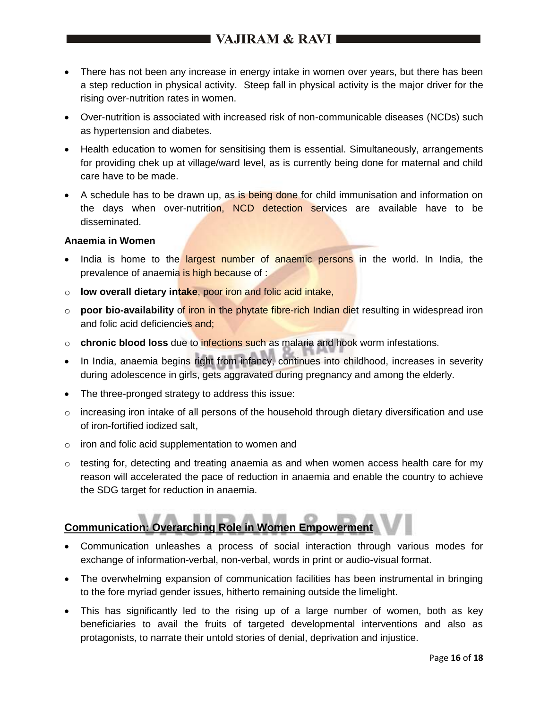# I VAJIRAM & RAVI ■

- There has not been any increase in energy intake in women over years, but there has been a step reduction in physical activity. Steep fall in physical activity is the major driver for the rising over-nutrition rates in women.
- Over-nutrition is associated with increased risk of non-communicable diseases (NCDs) such as hypertension and diabetes.
- Health education to women for sensitising them is essential. Simultaneously, arrangements for providing chek up at village/ward level, as is currently being done for maternal and child care have to be made.
- A schedule has to be drawn up, as is being done for child immunisation and information on the days when over-nutrition, NCD detection services are available have to be disseminated.

### **Anaemia in Women**

- India is home to the **largest number of anaemic persons** in the world. In India, the prevalence of anaemia is high because of :
- o **low overall dietary intake**, poor iron and folic acid intake,
- o **poor bio-availability** of iron in the phytate fibre-rich Indian diet resulting in widespread iron and folic acid deficiencies and;
- o **chronic blood loss** due to infections such as malaria and hook worm infestations.
- In India, anaemia begins right from infancy, continues into childhood, increases in severity during adolescence in girls, gets aggravated during pregnancy and among the elderly.
- The three-pronged strategy to address this issue:
- $\circ$  increasing iron intake of all persons of the household through dietary diversification and use of iron-fortified iodized salt,
- o iron and folic acid supplementation to women and
- $\circ$  testing for, detecting and treating anaemia as and when women access health care for my reason will accelerated the pace of reduction in anaemia and enable the country to achieve the SDG target for reduction in anaemia.

# **Communication: Overarching Role in Women Empowerment**

- Communication unleashes a process of social interaction through various modes for exchange of information-verbal, non-verbal, words in print or audio-visual format.
- The overwhelming expansion of communication facilities has been instrumental in bringing to the fore myriad gender issues, hitherto remaining outside the limelight.
- This has significantly led to the rising up of a large number of women, both as key beneficiaries to avail the fruits of targeted developmental interventions and also as protagonists, to narrate their untold stories of denial, deprivation and injustice.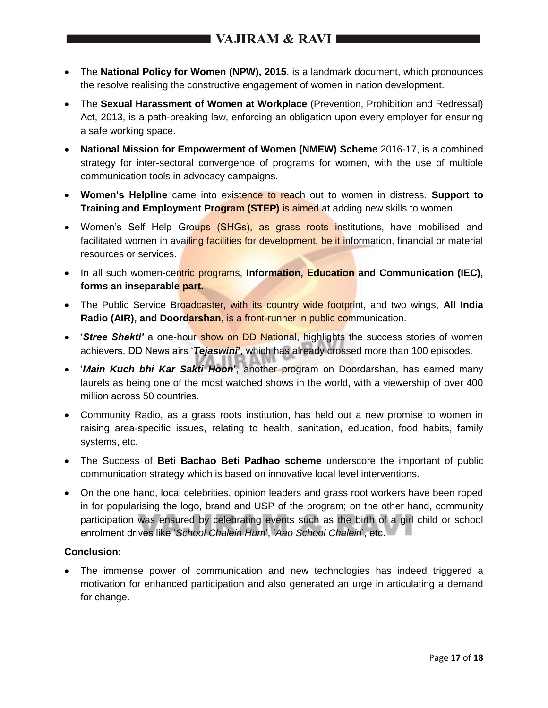- The **National Policy for Women (NPW), 2015**, is a landmark document, which pronounces the resolve realising the constructive engagement of women in nation development.
- The **Sexual Harassment of Women at Workplace** (Prevention, Prohibition and Redressal) Act, 2013, is a path-breaking law, enforcing an obligation upon every employer for ensuring a safe working space.
- **National Mission for Empowerment of Women (NMEW) Scheme** 2016-17, is a combined strategy for inter-sectoral convergence of programs for women, with the use of multiple communication tools in advocacy campaigns.
- **Women's Helpline** came into existence to reach out to women in distress. **Support to Training and Employment Program (STEP)** is aimed at adding new skills to women.
- Women's Self Help Groups (SHGs), as grass roots institutions, have mobilised and facilitated women in availing facilities for development, be it information, financial or material resources or services.
- In all such women-centric programs, Information, Education and Communication (IEC), **forms an inseparable part.**
- The Public Service Broadcaster, with its country wide footprint, and two wings, All India **Radio (AIR), and Doordarshan**, is a front-runner in public communication.
- *'Stree Shakti'* a one-hour show on DD National, highlights the success stories of women achievers. DD News airs '*Tejaswini***'**, which has already crossed more than 100 episodes.
- '*Main Kuch bhi Kar Sakti Hoon***'**, another program on Doordarshan, has earned many laurels as being one of the most watched shows in the world, with a viewership of over 400 million across 50 countries.
- Community Radio, as a grass roots institution, has held out a new promise to women in raising area-specific issues, relating to health, sanitation, education, food habits, family systems, etc.
- The Success of **Beti Bachao Beti Padhao scheme** underscore the important of public communication strategy which is based on innovative local level interventions.
- On the one hand, local celebrities, opinion leaders and grass root workers have been roped in for popularising the logo, brand and USP of the program; on the other hand, community participation was ensured by celebrating events such as the birth of a girl child or school enrolment drives like '*School Chalein Hum*', '*Aao School Chalein*', etc.

## **Conclusion:**

 The immense power of communication and new technologies has indeed triggered a motivation for enhanced participation and also generated an urge in articulating a demand for change.